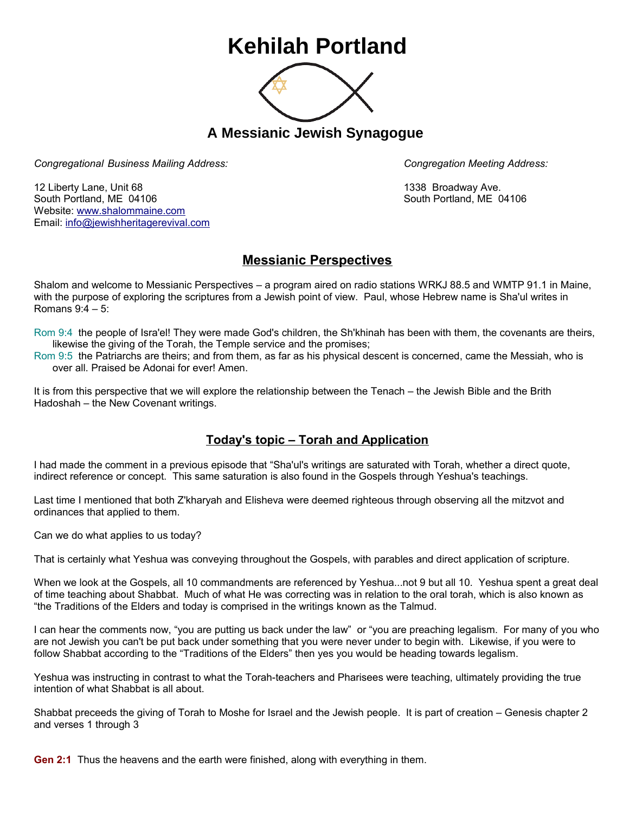## **Kehilah Portland**



**A Messianic Jewish Synagogue** 

*Congregational Business Mailing Address: Congregation Meeting Address:*

12 Liberty Lane, Unit 68 1338 Broadway Ave. South Portland, ME 04106 South Portland, ME 04106 Website: [www.shalommaine.com](http://www.shalommaine.com/) Email: [info@jewishheritagerevival.com](mailto:info@jewishheritagerevival.com) 

## **Messianic Perspectives**

Shalom and welcome to Messianic Perspectives – a program aired on radio stations WRKJ 88.5 and WMTP 91.1 in Maine, with the purpose of exploring the scriptures from a Jewish point of view. Paul, whose Hebrew name is Sha'ul writes in Romans 9:4 – 5:

Rom 9:4 the people of Isra'el! They were made God's children, the Sh'khinah has been with them, the covenants are theirs, likewise the giving of the Torah, the Temple service and the promises;

Rom 9:5 the Patriarchs are theirs; and from them, as far as his physical descent is concerned, came the Messiah, who is over all. Praised be Adonai for ever! Amen.

It is from this perspective that we will explore the relationship between the Tenach – the Jewish Bible and the Brith Hadoshah – the New Covenant writings.

## **Today's topic – Torah and Application**

I had made the comment in a previous episode that "Sha'ul's writings are saturated with Torah, whether a direct quote, indirect reference or concept. This same saturation is also found in the Gospels through Yeshua's teachings.

Last time I mentioned that both Z'kharyah and Elisheva were deemed righteous through observing all the mitzvot and ordinances that applied to them.

Can we do what applies to us today?

That is certainly what Yeshua was conveying throughout the Gospels, with parables and direct application of scripture.

When we look at the Gospels, all 10 commandments are referenced by Yeshua...not 9 but all 10. Yeshua spent a great deal of time teaching about Shabbat. Much of what He was correcting was in relation to the oral torah, which is also known as "the Traditions of the Elders and today is comprised in the writings known as the Talmud.

I can hear the comments now, "you are putting us back under the law" or "you are preaching legalism. For many of you who are not Jewish you can't be put back under something that you were never under to begin with. Likewise, if you were to follow Shabbat according to the "Traditions of the Elders" then yes you would be heading towards legalism.

Yeshua was instructing in contrast to what the Torah-teachers and Pharisees were teaching, ultimately providing the true intention of what Shabbat is all about.

Shabbat preceeds the giving of Torah to Moshe for Israel and the Jewish people. It is part of creation – Genesis chapter 2 and verses 1 through 3

**Gen 2:1** Thus the heavens and the earth were finished, along with everything in them.